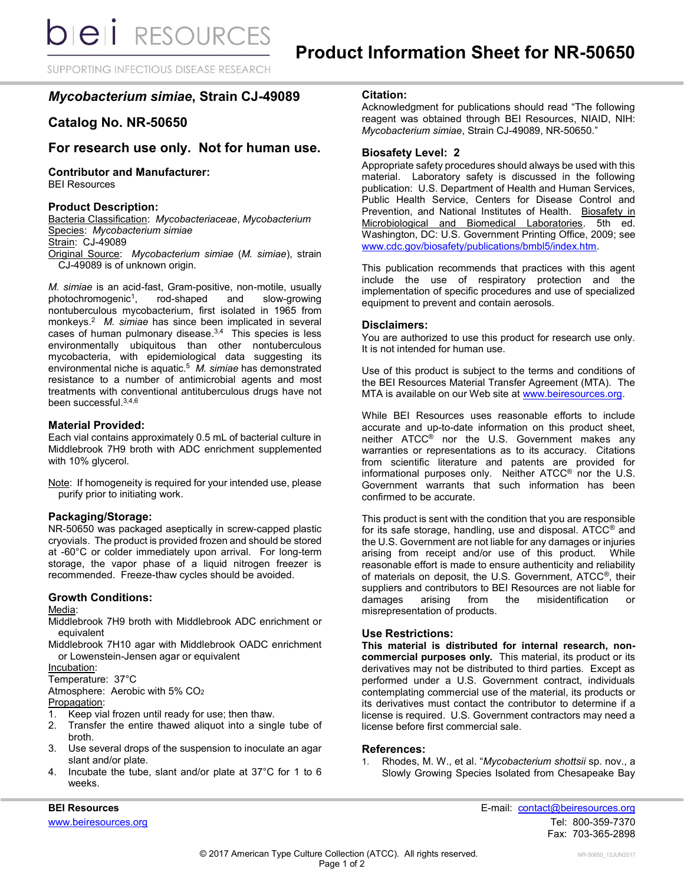SUPPORTING INFECTIOUS DISEASE RESEARCH

# *Mycobacterium simiae***, Strain CJ-49089**

# **Catalog No. NR-50650**

# **For research use only. Not for human use.**

#### **Contributor and Manufacturer:** BEI Resources

## **Product Description:**

Bacteria Classification: *Mycobacteriaceae*, *Mycobacterium* Species: *Mycobacterium simiae* Strain: CJ-49089 Original Source: *Mycobacterium simiae* (*M. simiae*), strain CJ-49089 is of unknown origin.

*M. simiae* is an acid-fast, Gram-positive, non-motile, usually photochromogenic<sup>1</sup>, , rod-shaped and slow-growing nontuberculous mycobacterium, first isolated in 1965 from monkeys. 2 *M. simiae* has since been implicated in several cases of human pulmonary disease. 3,4 This species is less environmentally ubiquitous than other nontuberculous mycobacteria, with epidemiological data suggesting its environmental niche is aquatic.<sup>5</sup> M. simiae has demonstrated resistance to a number of antimicrobial agents and most treatments with conventional antituberculous drugs have not been successful. 3,4,6

## **Material Provided:**

Each vial contains approximately 0.5 mL of bacterial culture in Middlebrook 7H9 broth with ADC enrichment supplemented with 10% glycerol.

Note: If homogeneity is required for your intended use, please purify prior to initiating work.

## **Packaging/Storage:**

NR-50650 was packaged aseptically in screw-capped plastic cryovials. The product is provided frozen and should be stored at -60°C or colder immediately upon arrival. For long-term storage, the vapor phase of a liquid nitrogen freezer is recommended. Freeze-thaw cycles should be avoided.

# **Growth Conditions:**

#### Media:

Middlebrook 7H9 broth with Middlebrook ADC enrichment or equivalent

Middlebrook 7H10 agar with Middlebrook OADC enrichment or Lowenstein-Jensen agar or equivalent

Incubation:

Temperature: 37°C

Atmosphere: Aerobic with 5% CO<sup>2</sup>

Propagation:

- 1. Keep vial frozen until ready for use; then thaw.
- 2. Transfer the entire thawed aliquot into a single tube of broth.
- 3. Use several drops of the suspension to inoculate an agar slant and/or plate.
- 4. Incubate the tube, slant and/or plate at 37°C for 1 to 6 weeks.

# **Citation:**

Acknowledgment for publications should read "The following reagent was obtained through BEI Resources, NIAID, NIH: *Mycobacterium simiae*, Strain CJ-49089, NR-50650."

# **Biosafety Level: 2**

Appropriate safety procedures should always be used with this material. Laboratory safety is discussed in the following publication: U.S. Department of Health and Human Services, Public Health Service, Centers for Disease Control and Prevention, and National Institutes of Health. Biosafety in Microbiological and Biomedical Laboratories. 5th ed. Washington, DC: U.S. Government Printing Office, 2009; see [www.cdc.gov/biosafety/publications/bmbl5/index.htm.](http://www.cdc.gov/biosafety/publications/bmbl5/index.htm)

This publication recommends that practices with this agent include the use of respiratory protection and the implementation of specific procedures and use of specialized equipment to prevent and contain aerosols.

## **Disclaimers:**

You are authorized to use this product for research use only. It is not intended for human use.

Use of this product is subject to the terms and conditions of the BEI Resources Material Transfer Agreement (MTA). The MTA is available on our Web site at [www.beiresources.org.](http://www.beiresources.org/)

While BEI Resources uses reasonable efforts to include accurate and up-to-date information on this product sheet, neither ATCC® nor the U.S. Government makes any warranties or representations as to its accuracy. Citations from scientific literature and patents are provided for informational purposes only. Neither ATCC® nor the U.S. Government warrants that such information has been confirmed to be accurate.

This product is sent with the condition that you are responsible for its safe storage, handling, use and disposal. ATCC® and the U.S. Government are not liable for any damages or injuries arising from receipt and/or use of this product. While reasonable effort is made to ensure authenticity and reliability of materials on deposit, the U.S. Government, ATCC®, their suppliers and contributors to BEI Resources are not liable for<br>damages arising from the misidentification or damages arising from the misidentification or misrepresentation of products.

## **Use Restrictions:**

**This material is distributed for internal research, noncommercial purposes only.** This material, its product or its derivatives may not be distributed to third parties. Except as performed under a U.S. Government contract, individuals contemplating commercial use of the material, its products or its derivatives must contact the contributor to determine if a license is required. U.S. Government contractors may need a license before first commercial sale.

## **References:**

1. Rhodes, M. W., et al. "*Mycobacterium shottsii* sp. nov., a Slowly Growing Species Isolated from Chesapeake Bay

**BEI Resources** E-mail: [contact@beiresources.org](mailto:contact@beiresources.org) [www.beiresources.org](http://www.beiresources.org/)Tel: 800-359-7370 Fax: 703-365-2898